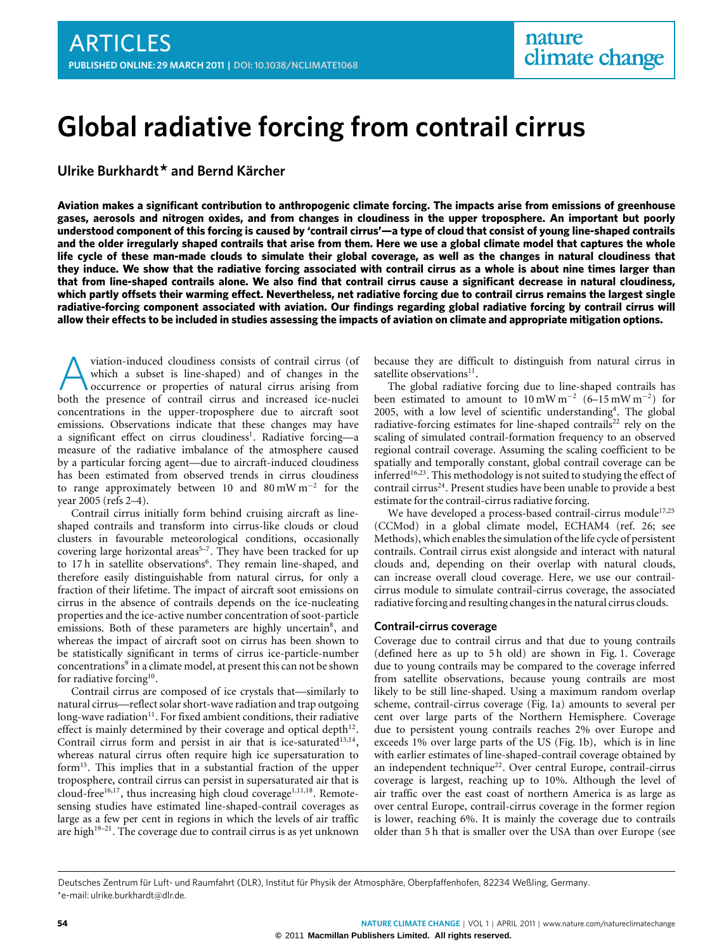# **Global radiative forcing from contrail cirrus**

**Ulrike Burkhardt\* and Bernd Kärcher**

**Aviation makes a significant contribution to anthropogenic climate forcing. The impacts arise from emissions of greenhouse gases, aerosols and nitrogen oxides, and from changes in cloudiness in the upper troposphere. An important but poorly understood component of this forcing is caused by 'contrail cirrus'—a type of cloud that consist of young line-shaped contrails and the older irregularly shaped contrails that arise from them. Here we use a global climate model that captures the whole life cycle of these man-made clouds to simulate their global coverage, as well as the changes in natural cloudiness that they induce. We show that the radiative forcing associated with contrail cirrus as a whole is about nine times larger than that from line-shaped contrails alone. We also find that contrail cirrus cause a significant decrease in natural cloudiness, which partly offsets their warming effect. Nevertheless, net radiative forcing due to contrail cirrus remains the largest single radiative-forcing component associated with aviation. Our findings regarding global radiative forcing by contrail cirrus will allow their effects to be included in studies assessing the impacts of aviation on climate and appropriate mitigation options.**

viation-induced cloudiness consists of contrail cirrus (of which a subset is line-shaped) and of changes in the occurrence or properties of natural cirrus arising from both the presence of contrail cirrus and increased ice viation-induced cloudiness consists of contrail cirrus (of which a subset is line-shaped) and of changes in the occurrence or properties of natural cirrus arising from concentrations in the upper-troposphere due to aircraft soot emissions. Observations indicate that these changes may have a significant effect on cirrus cloudiness<sup>[1](#page-4-0)</sup>. Radiative forcing-a measure of the radiative imbalance of the atmosphere caused by a particular forcing agent—due to aircraft-induced cloudiness has been estimated from observed trends in cirrus cloudiness to range approximately between 10 and 80 mW m<sup>−</sup><sup>2</sup> for the year 2005 (refs [2](#page-4-1)[–4\)](#page-4-2).

Contrail cirrus initially form behind cruising aircraft as lineshaped contrails and transform into cirrus-like clouds or cloud clusters in favourable meteorological conditions, occasionally covering large horizontal areas<sup>5-[7](#page-4-4)</sup>. They have been tracked for up to 17h in satellite observations<sup>[6](#page-4-5)</sup>. They remain line-shaped, and therefore easily distinguishable from natural cirrus, for only a fraction of their lifetime. The impact of aircraft soot emissions on cirrus in the absence of contrails depends on the ice-nucleating properties and the ice-active number concentration of soot-particle emissions. Both of these parameters are highly uncertain<sup>[8](#page-4-6)</sup>, and whereas the impact of aircraft soot on cirrus has been shown to be statistically significant in terms of cirrus ice-particle-number concentrations<sup>[9](#page-4-7)</sup> in a climate model, at present this can not be shown for radiative forcing<sup>[10](#page-4-8)</sup>.

Contrail cirrus are composed of ice crystals that—similarly to natural cirrus—reflect solar short-wave radiation and trap outgoing long-wave radiation $11$ . For fixed ambient conditions, their radiative effect is mainly determined by their coverage and optical depth $12$ . Contrail cirrus form and persist in air that is ice-saturated $13,14$  $13,14$ , whereas natural cirrus often require high ice supersaturation to form[15](#page-4-13). This implies that in a substantial fraction of the upper troposphere, contrail cirrus can persist in supersaturated air that is cloud-free $^{16,17}$  $^{16,17}$  $^{16,17}$  $^{16,17}$ , thus increasing high cloud coverage<sup>[1,](#page-4-0)[11](#page-4-9)[,18](#page-4-16)</sup>. Remotesensing studies have estimated line-shaped-contrail coverages as large as a few per cent in regions in which the levels of air traffic are high<sup>[19](#page-4-17)[–21](#page-4-18)</sup>. The coverage due to contrail cirrus is as yet unknown because they are difficult to distinguish from natural cirrus in satellite observations<sup>[11](#page-4-9)</sup>.

The global radiative forcing due to line-shaped contrails has been estimated to amount to  $10 \text{ mW m}^{-2}$  (6–15 mW m<sup>-2</sup>) for 2005, with a low level of scientific understanding<sup>[4](#page-4-2)</sup>. The global radiative-forcing estimates for line-shaped contrails<sup>[22](#page-4-19)</sup> rely on the scaling of simulated contrail-formation frequency to an observed regional contrail coverage. Assuming the scaling coefficient to be spatially and temporally constant, global contrail coverage can be inferred<sup>[16](#page-4-14)[,23](#page-4-20)</sup>. This methodology is not suited to studying the effect of contrail cirrus<sup>[24](#page-4-21)</sup>. Present studies have been unable to provide a best estimate for the contrail-cirrus radiative forcing.

We have developed a process-based contrail-cirrus module<sup>[17](#page-4-15)[,25](#page-4-22)</sup> (CCMod) in a global climate model, ECHAM4 (ref. [26;](#page-4-23) see Methods), which enables the simulation of the life cycle of persistent contrails. Contrail cirrus exist alongside and interact with natural clouds and, depending on their overlap with natural clouds, can increase overall cloud coverage. Here, we use our contrailcirrus module to simulate contrail-cirrus coverage, the associated radiative forcing and resulting changes in the natural cirrus clouds.

### **Contrail-cirrus coverage**

Coverage due to contrail cirrus and that due to young contrails (defined here as up to 5h old) are shown in [Fig. 1.](#page-1-0) Coverage due to young contrails may be compared to the coverage inferred from satellite observations, because young contrails are most likely to be still line-shaped. Using a maximum random overlap scheme, contrail-cirrus coverage [\(Fig. 1a](#page-1-0)) amounts to several per cent over large parts of the Northern Hemisphere. Coverage due to persistent young contrails reaches 2% over Europe and exceeds 1% over large parts of the US [\(Fig. 1b](#page-1-0)), which is in line with earlier estimates of line-shaped-contrail coverage obtained by an independent technique<sup>[22](#page-4-19)</sup>. Over central Europe, contrail-cirrus coverage is largest, reaching up to 10%. Although the level of air traffic over the east coast of northern America is as large as over central Europe, contrail-cirrus coverage in the former region is lower, reaching 6%. It is mainly the coverage due to contrails older than 5 h that is smaller over the USA than over Europe (see

Deutsches Zentrum für Luft- und Raumfahrt (DLR), Institut für Physik der Atmosphäre, Oberpfaffenhofen, 82234 Weßling, Germany. \*e-mail: [ulrike.burkhardt@dlr.de.](mailto:ulrike.burkhardt@dlr.de)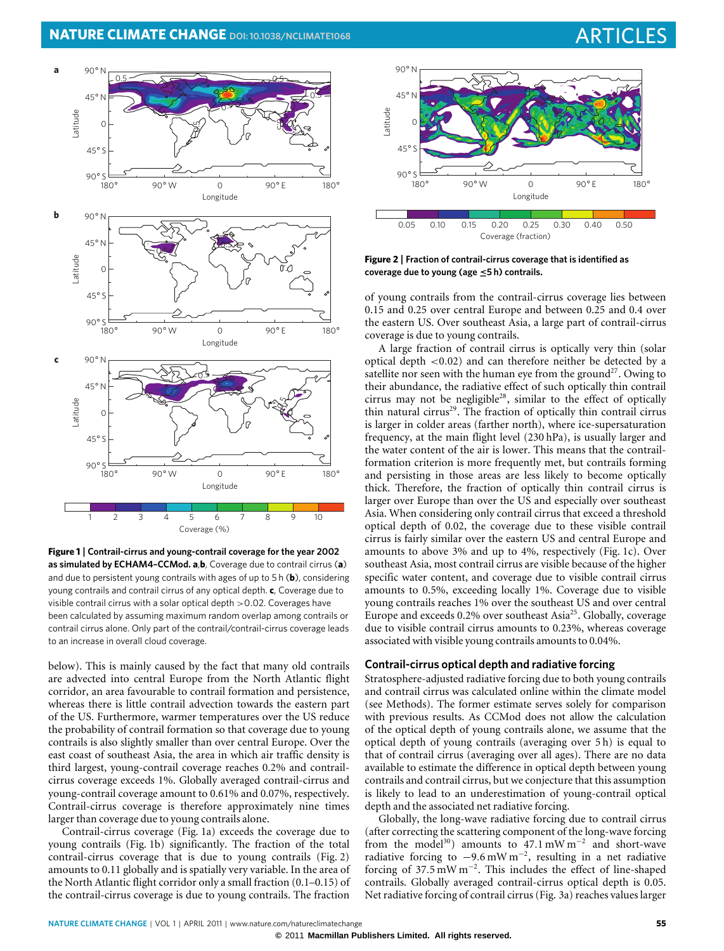

<span id="page-1-0"></span>**Figure 1** | **Contrail-cirrus and young-contrail coverage for the year 2002 as simulated by ECHAM4–CCMod. a**,**b**, Coverage due to contrail cirrus (**a**) and due to persistent young contrails with ages of up to 5 h (**b**), considering young contrails and contrail cirrus of any optical depth. **c**, Coverage due to visible contrail cirrus with a solar optical depth  $>$  0.02. Coverages have been calculated by assuming maximum random overlap among contrails or contrail cirrus alone. Only part of the contrail/contrail-cirrus coverage leads to an increase in overall cloud coverage.

below). This is mainly caused by the fact that many old contrails are advected into central Europe from the North Atlantic flight corridor, an area favourable to contrail formation and persistence, whereas there is little contrail advection towards the eastern part of the US. Furthermore, warmer temperatures over the US reduce the probability of contrail formation so that coverage due to young contrails is also slightly smaller than over central Europe. Over the east coast of southeast Asia, the area in which air traffic density is third largest, young-contrail coverage reaches 0.2% and contrailcirrus coverage exceeds 1%. Globally averaged contrail-cirrus and young-contrail coverage amount to 0.61% and 0.07%, respectively. Contrail-cirrus coverage is therefore approximately nine times larger than coverage due to young contrails alone.

Contrail-cirrus coverage [\(Fig. 1a](#page-1-0)) exceeds the coverage due to young contrails [\(Fig. 1b](#page-1-0)) significantly. The fraction of the total contrail-cirrus coverage that is due to young contrails [\(Fig. 2\)](#page-1-1) amounts to 0.11 globally and is spatially very variable. In the area of the North Atlantic flight corridor only a small fraction (0.1–0.15) of the contrail-cirrus coverage is due to young contrails. The fraction



<span id="page-1-1"></span>**Figure 2** | **Fraction of contrail-cirrus coverage that is identified as coverage due to young (age** ≤**5 h) contrails.**

of young contrails from the contrail-cirrus coverage lies between 0.15 and 0.25 over central Europe and between 0.25 and 0.4 over the eastern US. Over southeast Asia, a large part of contrail-cirrus coverage is due to young contrails.

A large fraction of contrail cirrus is optically very thin (solar optical depth <0.02) and can therefore neither be detected by a satellite nor seen with the human eye from the ground<sup>[27](#page-4-24)</sup>. Owing to their abundance, the radiative effect of such optically thin contrail cirrus may not be negligible[28](#page-4-25), similar to the effect of optically thin natural cirrus<sup>[29](#page-4-26)</sup>. The fraction of optically thin contrail cirrus is larger in colder areas (farther north), where ice-supersaturation frequency, at the main flight level (230 hPa), is usually larger and the water content of the air is lower. This means that the contrailformation criterion is more frequently met, but contrails forming and persisting in those areas are less likely to become optically thick. Therefore, the fraction of optically thin contrail cirrus is larger over Europe than over the US and especially over southeast Asia. When considering only contrail cirrus that exceed a threshold optical depth of 0.02, the coverage due to these visible contrail cirrus is fairly similar over the eastern US and central Europe and amounts to above 3% and up to 4%, respectively [\(Fig. 1c](#page-1-0)). Over southeast Asia, most contrail cirrus are visible because of the higher specific water content, and coverage due to visible contrail cirrus amounts to 0.5%, exceeding locally 1%. Coverage due to visible young contrails reaches 1% over the southeast US and over central Europe and exceeds 0.2% over southeast Asia<sup>[25](#page-4-22)</sup>. Globally, coverage due to visible contrail cirrus amounts to 0.23%, whereas coverage associated with visible young contrails amounts to 0.04%.

### **Contrail-cirrus optical depth and radiative forcing**

Stratosphere-adjusted radiative forcing due to both young contrails and contrail cirrus was calculated online within the climate model (see Methods). The former estimate serves solely for comparison with previous results. As CCMod does not allow the calculation of the optical depth of young contrails alone, we assume that the optical depth of young contrails (averaging over 5 h) is equal to that of contrail cirrus (averaging over all ages). There are no data available to estimate the difference in optical depth between young contrails and contrail cirrus, but we conjecture that this assumption is likely to lead to an underestimation of young-contrail optical depth and the associated net radiative forcing.

Globally, the long-wave radiative forcing due to contrail cirrus (after correcting the scattering component of the long-wave forcing from the model<sup>[30](#page-4-27)</sup>) amounts to  $47.1 \text{ mW m}^{-2}$  and short-wave radiative forcing to  $-9.6$  mW m<sup>-2</sup>, resulting in a net radiative forcing of 37.5 mW m<sup>−</sup><sup>2</sup> . This includes the effect of line-shaped contrails. Globally averaged contrail-cirrus optical depth is 0.05. Net radiative forcing of contrail cirrus [\(Fig. 3a](#page-2-0)) reaches values larger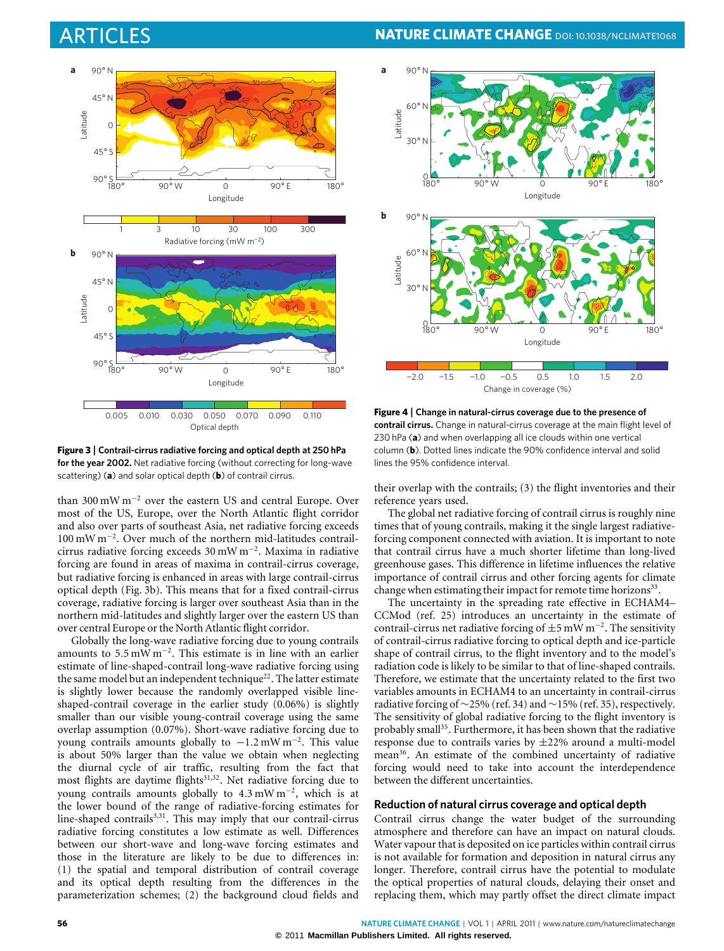

<span id="page-2-0"></span>**Figure 3** | **Contrail-cirrus radiative forcing and optical depth at 250 hPa for the year 2002.** Net radiative forcing (without correcting for long-wave scattering) (**a**) and solar optical depth (**b**) of contrail cirrus.

than 300 mW m<sup>−</sup><sup>2</sup> over the eastern US and central Europe. Over most of the US, Europe, over the North Atlantic flight corridor and also over parts of southeast Asia, net radiative forcing exceeds 100 mW m<sup>−</sup><sup>2</sup> . Over much of the northern mid-latitudes contrailcirrus radiative forcing exceeds 30 mW m<sup>−</sup><sup>2</sup> . Maxima in radiative forcing are found in areas of maxima in contrail-cirrus coverage, but radiative forcing is enhanced in areas with large contrail-cirrus optical depth [\(Fig. 3b](#page-2-0)). This means that for a fixed contrail-cirrus coverage, radiative forcing is larger over southeast Asia than in the northern mid-latitudes and slightly larger over the eastern US than over central Europe or the North Atlantic flight corridor.

Globally the long-wave radiative forcing due to young contrails amounts to 5.5 mW m<sup>−</sup><sup>2</sup> . This estimate is in line with an earlier estimate of line-shaped-contrail long-wave radiative forcing using the same model but an independent technique<sup>[22](#page-4-19)</sup>. The latter estimate is slightly lower because the randomly overlapped visible lineshaped-contrail coverage in the earlier study (0.06%) is slightly smaller than our visible young-contrail coverage using the same overlap assumption (0.07%). Short-wave radiative forcing due to young contrails amounts globally to -1.2 mW m<sup>-2</sup>. This value is about 50% larger than the value we obtain when neglecting the diurnal cycle of air traffic, resulting from the fact that most flights are daytime flights<sup>[31,](#page-4-28)[32](#page-4-29)</sup>. Net radiative forcing due to young contrails amounts globally to 4.3 mW m<sup>−</sup><sup>2</sup> , which is at the lower bound of the range of radiative-forcing estimates for line-shaped contrails<sup>[3](#page-4-30)[,31](#page-4-28)</sup>. This may imply that our contrail-cirrus radiative forcing constitutes a low estimate as well. Differences between our short-wave and long-wave forcing estimates and those in the literature are likely to be due to differences in: (1) the spatial and temporal distribution of contrail coverage and its optical depth resulting from the differences in the parameterization schemes; (2) the background cloud fields and

## ARTICLES **NATURE CLIMATE CHANGE DOI[: 10.1038/NCLIMATE1068](http://www.nature.com/doifinder/10.1038/nclimate1068)**



<span id="page-2-1"></span>**Figure 4** | **Change in natural-cirrus coverage due to the presence of contrail cirrus.** Change in natural-cirrus coverage at the main flight level of 230 hPa (**a**) and when overlapping all ice clouds within one vertical column (**b**). Dotted lines indicate the 90% confidence interval and solid lines the 95% confidence interval.

their overlap with the contrails; (3) the flight inventories and their reference years used.

The global net radiative forcing of contrail cirrus is roughly nine times that of young contrails, making it the single largest radiativeforcing component connected with aviation. It is important to note that contrail cirrus have a much shorter lifetime than long-lived greenhouse gases. This difference in lifetime influences the relative importance of contrail cirrus and other forcing agents for climate change when estimating their impact for remote time horizons<sup>[33](#page-4-31)</sup>.

The uncertainty in the spreading rate effective in ECHAM4– CCMod (ref. [25\)](#page-4-22) introduces an uncertainty in the estimate of contrail-cirrus net radiative forcing of ±5 mW m<sup>−</sup><sup>2</sup> . The sensitivity of contrail-cirrus radiative forcing to optical depth and ice-particle shape of contrail cirrus, to the flight inventory and to the model's radiation code is likely to be similar to that of line-shaped contrails. Therefore, we estimate that the uncertainty related to the first two variables amounts in ECHAM4 to an uncertainty in contrail-cirrus radiative forcing of ∼25% (ref. [34\)](#page-4-32) and ∼15% (ref. [35\)](#page-4-33), respectively. The sensitivity of global radiative forcing to the flight inventory is probably small<sup>[35](#page-4-33)</sup>. Furthermore, it has been shown that the radiative response due to contrails varies by ±22% around a multi-model mean<sup>[36](#page-4-34)</sup>. An estimate of the combined uncertainty of radiative forcing would need to take into account the interdependence between the different uncertainties.

### **Reduction of natural cirrus coverage and optical depth**

Contrail cirrus change the water budget of the surrounding atmosphere and therefore can have an impact on natural clouds. Water vapour that is deposited on ice particles within contrail cirrus is not available for formation and deposition in natural cirrus any longer. Therefore, contrail cirrus have the potential to modulate the optical properties of natural clouds, delaying their onset and replacing them, which may partly offset the direct climate impact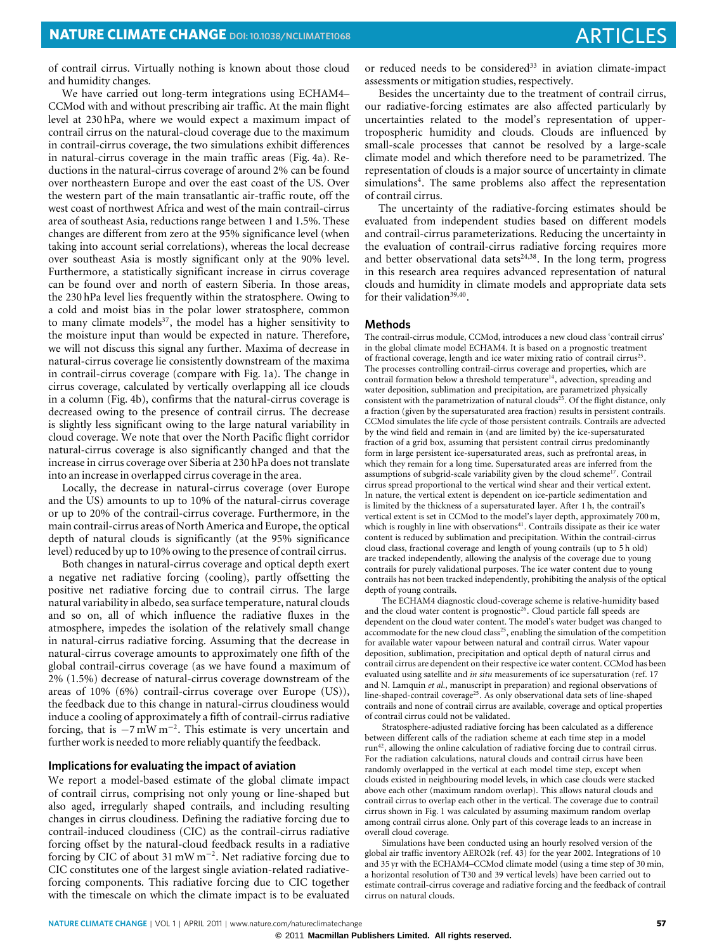of contrail cirrus. Virtually nothing is known about those cloud and humidity changes.

We have carried out long-term integrations using ECHAM4– CCMod with and without prescribing air traffic. At the main flight level at 230 hPa, where we would expect a maximum impact of contrail cirrus on the natural-cloud coverage due to the maximum in contrail-cirrus coverage, the two simulations exhibit differences in natural-cirrus coverage in the main traffic areas [\(Fig. 4a](#page-2-1)). Reductions in the natural-cirrus coverage of around 2% can be found over northeastern Europe and over the east coast of the US. Over the western part of the main transatlantic air-traffic route, off the west coast of northwest Africa and west of the main contrail-cirrus area of southeast Asia, reductions range between 1 and 1.5%. These changes are different from zero at the 95% significance level (when taking into account serial correlations), whereas the local decrease over southeast Asia is mostly significant only at the 90% level. Furthermore, a statistically significant increase in cirrus coverage can be found over and north of eastern Siberia. In those areas, the 230 hPa level lies frequently within the stratosphere. Owing to a cold and moist bias in the polar lower stratosphere, common to many climate models<sup>[37](#page-4-35)</sup>, the model has a higher sensitivity to the moisture input than would be expected in nature. Therefore, we will not discuss this signal any further. Maxima of decrease in natural-cirrus coverage lie consistently downstream of the maxima in contrail-cirrus coverage (compare with [Fig. 1a](#page-1-0)). The change in cirrus coverage, calculated by vertically overlapping all ice clouds in a column [\(Fig. 4b](#page-2-1)), confirms that the natural-cirrus coverage is decreased owing to the presence of contrail cirrus. The decrease is slightly less significant owing to the large natural variability in cloud coverage. We note that over the North Pacific flight corridor natural-cirrus coverage is also significantly changed and that the increase in cirrus coverage over Siberia at 230 hPa does not translate into an increase in overlapped cirrus coverage in the area.

Locally, the decrease in natural-cirrus coverage (over Europe and the US) amounts to up to 10% of the natural-cirrus coverage or up to 20% of the contrail-cirrus coverage. Furthermore, in the main contrail-cirrus areas of North America and Europe, the optical depth of natural clouds is significantly (at the 95% significance level) reduced by up to 10% owing to the presence of contrail cirrus.

Both changes in natural-cirrus coverage and optical depth exert a negative net radiative forcing (cooling), partly offsetting the positive net radiative forcing due to contrail cirrus. The large natural variability in albedo, sea surface temperature, natural clouds and so on, all of which influence the radiative fluxes in the atmosphere, impedes the isolation of the relatively small change in natural-cirrus radiative forcing. Assuming that the decrease in natural-cirrus coverage amounts to approximately one fifth of the global contrail-cirrus coverage (as we have found a maximum of 2% (1.5%) decrease of natural-cirrus coverage downstream of the areas of 10% (6%) contrail-cirrus coverage over Europe (US)), the feedback due to this change in natural-cirrus cloudiness would induce a cooling of approximately a fifth of contrail-cirrus radiative forcing, that is  $-7 \text{ mW m}^{-2}$ . This estimate is very uncertain and further work is needed to more reliably quantify the feedback.

### **Implications for evaluating the impact of aviation**

We report a model-based estimate of the global climate impact of contrail cirrus, comprising not only young or line-shaped but also aged, irregularly shaped contrails, and including resulting changes in cirrus cloudiness. Defining the radiative forcing due to contrail-induced cloudiness (CIC) as the contrail-cirrus radiative forcing offset by the natural-cloud feedback results in a radiative forcing by CIC of about 31 mW m<sup>−</sup><sup>2</sup> . Net radiative forcing due to CIC constitutes one of the largest single aviation-related radiativeforcing components. This radiative forcing due to CIC together with the timescale on which the climate impact is to be evaluated or reduced needs to be considered<sup>[33](#page-4-31)</sup> in aviation climate-impact assessments or mitigation studies, respectively.

Besides the uncertainty due to the treatment of contrail cirrus, our radiative-forcing estimates are also affected particularly by uncertainties related to the model's representation of uppertropospheric humidity and clouds. Clouds are influenced by small-scale processes that cannot be resolved by a large-scale climate model and which therefore need to be parametrized. The representation of clouds is a major source of uncertainty in climate simulations<sup>[4](#page-4-2)</sup>. The same problems also affect the representation of contrail cirrus.

The uncertainty of the radiative-forcing estimates should be evaluated from independent studies based on different models and contrail-cirrus parameterizations. Reducing the uncertainty in the evaluation of contrail-cirrus radiative forcing requires more and better observational data sets<sup>[24,](#page-4-21)[38](#page-4-36)</sup>. In the long term, progress in this research area requires advanced representation of natural clouds and humidity in climate models and appropriate data sets for their validation<sup>[39,](#page-4-37)[40](#page-4-38)</sup>.

### **Methods**

The contrail-cirrus module, CCMod, introduces a new cloud class 'contrail cirrus' in the global climate model ECHAM4. It is based on a prognostic treatment of fractional coverage, length and ice water mixing ratio of contrail cirrus<sup>[25](#page-4-22)</sup>. The processes controlling contrail-cirrus coverage and properties, which are contrail formation below a threshold temperature<sup>[14](#page-4-12)</sup>, advection, spreading and water deposition, sublimation and precipitation, are parametrized physically consistent with the parametrization of natural clouds<sup>[25](#page-4-22)</sup>. Of the flight distance, only a fraction (given by the supersaturated area fraction) results in persistent contrails. CCMod simulates the life cycle of those persistent contrails. Contrails are advected by the wind field and remain in (and are limited by) the ice-supersaturated fraction of a grid box, assuming that persistent contrail cirrus predominantly form in large persistent ice-supersaturated areas, such as prefrontal areas, in which they remain for a long time. Supersaturated areas are inferred from the assumptions of subgrid-scale variability given by the cloud scheme<sup>[17](#page-4-15)</sup>. Contrail cirrus spread proportional to the vertical wind shear and their vertical extent. In nature, the vertical extent is dependent on ice-particle sedimentation and is limited by the thickness of a supersaturated layer. After 1 h, the contrail's vertical extent is set in CCMod to the model's layer depth, approximately 700 m, which is roughly in line with observations<sup>[41](#page-4-39)</sup>. Contrails dissipate as their ice water content is reduced by sublimation and precipitation. Within the contrail-cirrus cloud class, fractional coverage and length of young contrails (up to 5 h old) are tracked independently, allowing the analysis of the coverage due to young contrails for purely validational purposes. The ice water content due to young contrails has not been tracked independently, prohibiting the analysis of the optical depth of young contrails.

The ECHAM4 diagnostic cloud-coverage scheme is relative-humidity based and the cloud water content is prognostic $26$ . Cloud particle fall speeds are dependent on the cloud water content. The model's water budget was changed to accommodate for the new cloud class<sup>[25](#page-4-22)</sup>, enabling the simulation of the competition for available water vapour between natural and contrail cirrus. Water vapour deposition, sublimation, precipitation and optical depth of natural cirrus and contrail cirrus are dependent on their respective ice water content. CCMod has been evaluated using satellite and *in situ* measurements of ice supersaturation (ref. [17](#page-4-15) and N. Lamquin *et al.*, manuscript in preparation) and regional observations of line-shaped-contrail coverage<sup>[25](#page-4-22)</sup>. As only observational data sets of line-shaped contrails and none of contrail cirrus are available, coverage and optical properties of contrail cirrus could not be validated.

Stratosphere-adjusted radiative forcing has been calculated as a difference between different calls of the radiation scheme at each time step in a model run[42](#page-4-40), allowing the online calculation of radiative forcing due to contrail cirrus. For the radiation calculations, natural clouds and contrail cirrus have been randomly overlapped in the vertical at each model time step, except when clouds existed in neighbouring model levels, in which case clouds were stacked above each other (maximum random overlap). This allows natural clouds and contrail cirrus to overlap each other in the vertical. The coverage due to contrail cirrus shown in [Fig. 1](#page-1-0) was calculated by assuming maximum random overlap among contrail cirrus alone. Only part of this coverage leads to an increase in overall cloud coverage.

Simulations have been conducted using an hourly resolved version of the global air traffic inventory AERO2k (ref. [43\)](#page-4-41) for the year 2002. Integrations of 10 and 35 yr with the ECHAM4–CCMod climate model (using a time step of 30 min, a horizontal resolution of T30 and 39 vertical levels) have been carried out to estimate contrail-cirrus coverage and radiative forcing and the feedback of contrail cirrus on natural clouds.